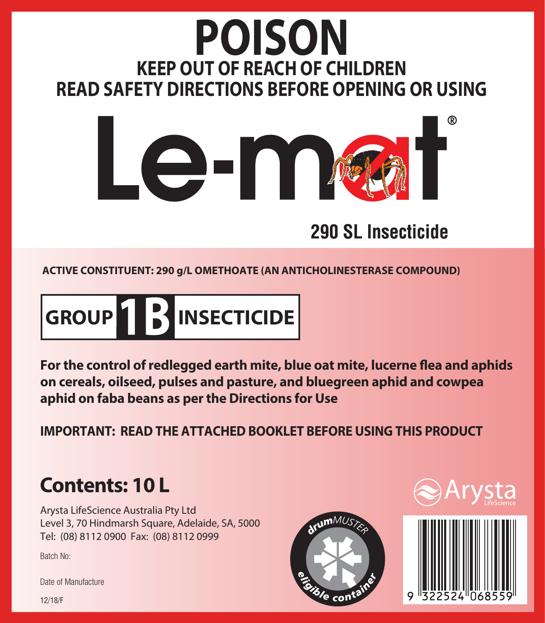# **POISON KEEP OUT OF REACH OF CHILDREN READ SAFETY DIRECTIONS BEFORE OPENING OR USING**



# 290 SL Insecticide

**ACTIVE CONSTITUENT: 290 g/L OMETHOATE (AN ANTICHOLINESTERASE COMPOUND)**

**GROUP 1B INSECTICIDE**

For the control of redlegged earth mite, blue oat mite, lucerne flea and aphids **on cereals, oilseed, pulses and pasture, and bluegreen aphid and cowpea aphid on faba beans as per the Directions for Use**

**IMPORTANT: READ THE ATTACHED BOOKLET BEFORE USING THIS PRODUCT**

# **Contents: 10 L**

Arysta LifeScience Australia Pty Ltd Level 3, 70 Hindmarsh Square, Adelaide, SA, 5000 Tel: (08) 8112 0900 Fax: (08) 8112 0999

Batch No:

Date of Manufacture







12/18/F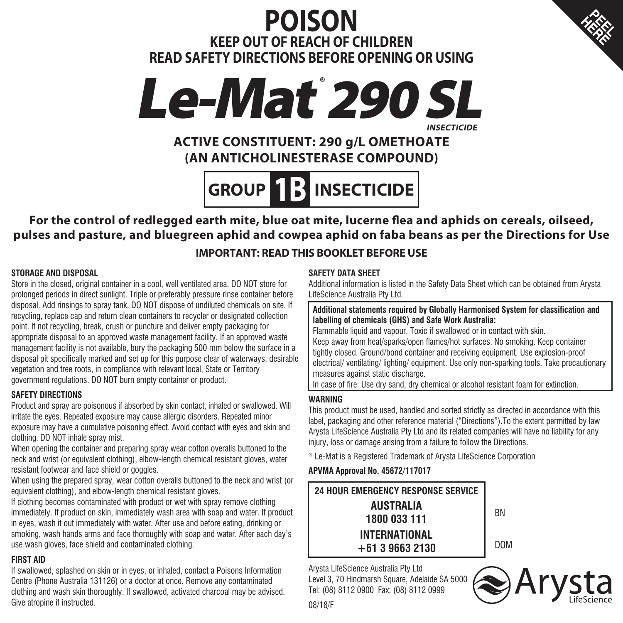# **POISON KEEP OUT OF REACH OF CHILDREN READ SAFETY DIRECTIONS BEFORE OPENING OR USING**





# **ACTIVE CONSTITUENT: 290 g/L OMETHOATE (AN ANTICHOLINESTERASE COMPOUND)**

# **GROUP 1B INSECTICIDE**

For the control of redlegged earth mite, blue oat mite, lucerne flea and aphids on cereals, oilseed, **pulses and pasture, and bluegreen aphid and cowpea aphid on faba beans as per the Directions for Use**

#### **IMPORTANT: READ THIS BOOKLET BEFORE USE**

#### **STORAGE AND DISPOSAL**

Store in the closed, original container in a cool, well ventilated area. DO NOT store for prolonged periods in direct sunlight. Triple or preferably pressure rinse container before disposal. Add rinsings to spray tank. DO NOT dispose of undiluted chemicals on site. If recycling, replace cap and return clean containers to recycler or designated collection point. If not recycling, break, crush or puncture and deliver empty packaging for appropriate disposal to an approved waste management facility. If an approved waste management facility is not available, bury the packaging 500 mm below the surface in a disposal pit specifically marked and set up for this purpose clear of waterways, desirable vegetation and tree roots, in compliance with relevant local, State or Territory government regulations. DO NOT burn empty container or product.

#### **SAFETY DIRECTIONS**

Product and spray are poisonous if absorbed by skin contact, inhaled or swallowed. Will irritate the eyes. Repeated exposure may cause allergic disorders. Repeated minor exposure may have a cumulative poisoning effect. Avoid contact with eyes and skin and clothing. DO NOT inhale spray mist.

When opening the container and preparing spray wear cotton overalls buttoned to the neck and wrist (or equivalent clothing), elbow-length chemical resistant gloves, water resistant footwear and face shield or googles.

When using the prepared spray, wear cotton overalls buttoned to the neck and wrist (or equivalent clothing), and elbow-length chemical resistant gloves.

If clothing becomes contaminated with product or wet with spray remove clothing immediately. If product on skin, immediately wash area with soap and water. If product in eyes, wash it out immediately with water. After use and before eating, drinking or smoking, wash hands arms and face thoroughly with soap and water. After each day's use wash gloves, face shield and contaminated clothing.

#### **FIRST AID**

If swallowed, splashed on skin or in eyes, or inhaled, contact a Poisons Information Centre (Phone Australia 131126) or a doctor at once. Remove any contaminated clothing and wash skin thoroughly. If swallowed, activated charcoal may be advised. Give atropine if instructed.

#### **SAFETY DATA SHEET**

Additional information is listed in the Safety Data Sheet which can be obtained from Arysta LifeScience Australia Pty Ltd.

**E**

**Additional statements required by Globally Harmonised System for classification and labelling of chemicals (GHS) and Safe Work Australia:**

Flammable liquid and vapour. Toxic if swallowed or in contact with skin. Keep away from heat/sparks/open flames/hot surfaces. No smoking. Keep container tightly closed. Ground/bond container and receiving equipment. Use explosion-proof electrical/ ventilating/ lighting/ equipment. Use only non-sparking tools. Take precautionary measures against static discharge.

In case of fire: Use dry sand, dry chemical or alcohol resistant foam for extinction.

#### **WARNING**

This product must be used, handled and sorted strictly as directed in accordance with this label, packaging and other reference material ("Directions").To the extent permitted by law Arysta LifeScience Australia Pty Ltd and its related companies will have no liability for any injury, loss or damage arising from a failure to follow the Directions.

® Le-Mat is a Registered Trademark of Arysta LifeScience Corporation

#### **APVMA Approval No. 45672/117017**

| 24 HOUR EMERGENCY RESPONSE SERVICE     |            |
|----------------------------------------|------------|
| AUSTRALIA<br>1800 033 111              | <b>RN</b>  |
| <b>INTERNATIONAL</b><br>$+61396632130$ | <b>DOM</b> |

Arysta LifeScience Australia Pty Ltd Level 3, 70 Hindmarsh Square, Adelaide SA 5000 Tel: (08) 8112 0900 Fax: (08) 8112 0999

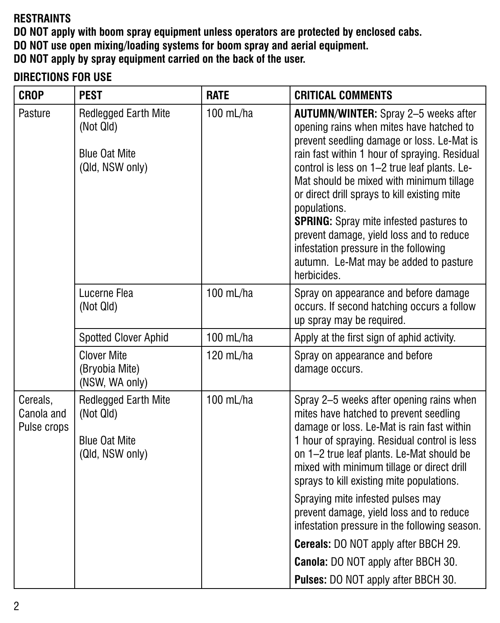#### **RESTRAINTS**

**DO NOT apply with boom spray equipment unless operators are protected by enclosed cabs.**

**DO NOT use open mixing/loading systems for boom spray and aerial equipment.**

**DO NOT apply by spray equipment carried on the back of the user.**

## **DIRECTIONS FOR USE**

| <b>CROP</b>                           | <b>PEST</b>                                                                         | <b>RATE</b> | <b>CRITICAL COMMENTS</b>                                                                                                                                                                                                                                                                                                                                                                                                                                                                                                                           |
|---------------------------------------|-------------------------------------------------------------------------------------|-------------|----------------------------------------------------------------------------------------------------------------------------------------------------------------------------------------------------------------------------------------------------------------------------------------------------------------------------------------------------------------------------------------------------------------------------------------------------------------------------------------------------------------------------------------------------|
| Pasture                               | <b>Redlegged Earth Mite</b><br>(Not Qld)<br><b>Blue Oat Mite</b><br>(Qld, NSW only) | 100 mL/ha   | <b>AUTUMN/WINTER:</b> Spray 2-5 weeks after<br>opening rains when mites have hatched to<br>prevent seedling damage or loss. Le-Mat is<br>rain fast within 1 hour of spraying. Residual<br>control is less on 1-2 true leaf plants. Le-<br>Mat should be mixed with minimum tillage<br>or direct drill sprays to kill existing mite<br>populations.<br><b>SPRING:</b> Spray mite infested pastures to<br>prevent damage, yield loss and to reduce<br>infestation pressure in the following<br>autumn. Le-Mat may be added to pasture<br>herbicides. |
|                                       | Lucerne Flea<br>(Not Qld)                                                           | 100 mL/ha   | Spray on appearance and before damage<br>occurs. If second hatching occurs a follow<br>up spray may be required.                                                                                                                                                                                                                                                                                                                                                                                                                                   |
|                                       | <b>Spotted Clover Aphid</b>                                                         | 100 mL/ha   | Apply at the first sign of aphid activity.                                                                                                                                                                                                                                                                                                                                                                                                                                                                                                         |
|                                       | <b>Clover Mite</b><br>(Bryobia Mite)<br>(NSW, WA only)                              | 120 mL/ha   | Spray on appearance and before<br>damage occurs.                                                                                                                                                                                                                                                                                                                                                                                                                                                                                                   |
| Cereals,<br>Canola and<br>Pulse crops | <b>Redlegged Earth Mite</b><br>(Not Qld)<br><b>Blue Oat Mite</b><br>(Qld, NSW only) | 100 mL/ha   | Spray 2-5 weeks after opening rains when<br>mites have hatched to prevent seedling<br>damage or loss. Le-Mat is rain fast within<br>1 hour of spraying. Residual control is less<br>on 1-2 true leaf plants. Le-Mat should be<br>mixed with minimum tillage or direct drill<br>sprays to kill existing mite populations.                                                                                                                                                                                                                           |
|                                       |                                                                                     |             | Spraying mite infested pulses may<br>prevent damage, yield loss and to reduce<br>infestation pressure in the following season.                                                                                                                                                                                                                                                                                                                                                                                                                     |
|                                       |                                                                                     |             | Cereals: DO NOT apply after BBCH 29.                                                                                                                                                                                                                                                                                                                                                                                                                                                                                                               |
|                                       |                                                                                     |             | Canola: DO NOT apply after BBCH 30.                                                                                                                                                                                                                                                                                                                                                                                                                                                                                                                |
|                                       |                                                                                     |             | <b>Pulses:</b> DO NOT apply after BBCH 30.                                                                                                                                                                                                                                                                                                                                                                                                                                                                                                         |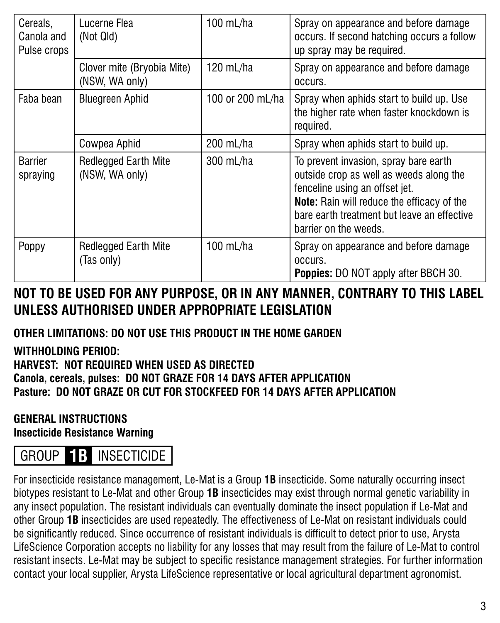| Cereals,<br>Canola and<br>Pulse crops | Lucerne Flea<br>(Not Qld)                     | 100 mL/ha        | Spray on appearance and before damage<br>occurs. If second hatching occurs a follow<br>up spray may be required.                                                                                                                                |
|---------------------------------------|-----------------------------------------------|------------------|-------------------------------------------------------------------------------------------------------------------------------------------------------------------------------------------------------------------------------------------------|
|                                       | Clover mite (Bryobia Mite)<br>(NSW, WA only)  | 120 mL/ha        | Spray on appearance and before damage<br>OCCUIS.                                                                                                                                                                                                |
| Faba bean                             | <b>Bluegreen Aphid</b>                        | 100 or 200 mL/ha | Spray when aphids start to build up. Use<br>the higher rate when faster knockdown is<br>required.                                                                                                                                               |
|                                       | Cowpea Aphid                                  | 200 mL/ha        | Spray when aphids start to build up.                                                                                                                                                                                                            |
| Barrier<br>spraying                   | <b>Redlegged Earth Mite</b><br>(NSW, WA only) | 300 mL/ha        | To prevent invasion, spray bare earth<br>outside crop as well as weeds along the<br>fenceline using an offset jet.<br><b>Note:</b> Rain will reduce the efficacy of the<br>bare earth treatment but leave an effective<br>barrier on the weeds. |
| Poppy                                 | <b>Redlegged Earth Mite</b><br>(Tas only)     | 100 mL/ha        | Spray on appearance and before damage<br>OCCUIS.<br><b>Poppies:</b> DO NOT apply after BBCH 30.                                                                                                                                                 |

# **NOT TO BE USED FOR ANY PURPOSE, OR IN ANY MANNER, CONTRARY TO THIS LABEL UNLESS AUTHORISED UNDER APPROPRIATE LEGISLATION**

### **OTHER LIMITATIONS: DO NOT USE THIS PRODUCT IN THE HOME GARDEN**

### **WITHHOLDING PERIOD:**

#### **HARVEST: NOT REQUIRED WHEN USED AS DIRECTED Canola, cereals, pulses: DO NOT GRAZE FOR 14 DAYS AFTER APPLICATION Pasture: DO NOT GRAZE OR CUT FOR STOCKFEED FOR 14 DAYS AFTER APPLICATION**

#### **GENERAL INSTRUCTIONS Insecticide Resistance Warning**

# GROUP **1B** INSECTICIDE

For insecticide resistance management, Le-Mat is a Group **1B** insecticide. Some naturally occurring insect biotypes resistant to Le-Mat and other Group **1B** insecticides may exist through normal genetic variability in any insect population. The resistant individuals can eventually dominate the insect population if Le-Mat and other Group **1B** insecticides are used repeatedly. The effectiveness of Le-Mat on resistant individuals could be significantly reduced. Since occurrence of resistant individuals is difficult to detect prior to use, Arysta LifeScience Corporation accepts no liability for any losses that may result from the failure of Le-Mat to control resistant insects. Le-Mat may be subject to specific resistance management strategies. For further information contact your local supplier, Arysta LifeScience representative or local agricultural department agronomist.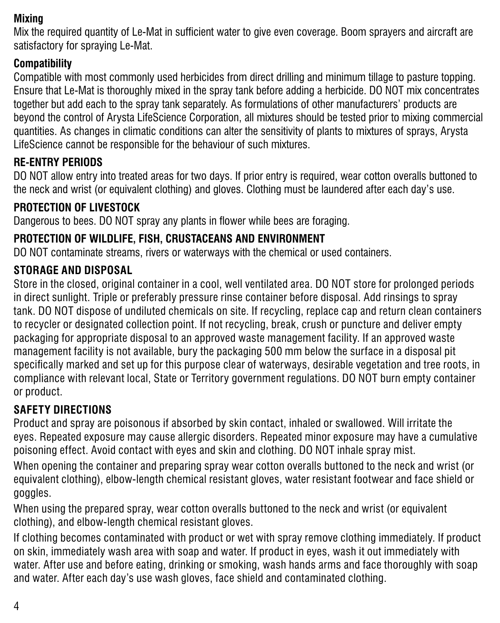#### **Mixing**

Mix the required quantity of Le-Mat in sufficient water to give even coverage. Boom sprayers and aircraft are satisfactory for spraying Le-Mat.

### **Compatibility**

Compatible with most commonly used herbicides from direct drilling and minimum tillage to pasture topping. Ensure that Le-Mat is thoroughly mixed in the spray tank before adding a herbicide. DO NOT mix concentrates together but add each to the spray tank separately. As formulations of other manufacturers' products are beyond the control of Arysta LifeScience Corporation, all mixtures should be tested prior to mixing commercial quantities. As changes in climatic conditions can alter the sensitivity of plants to mixtures of sprays, Arysta LifeScience cannot be responsible for the behaviour of such mixtures.

# **RE-ENTRY PERIODS**

DO NOT allow entry into treated areas for two days. If prior entry is required, wear cotton overalls buttoned to the neck and wrist (or equivalent clothing) and gloves. Clothing must be laundered after each day's use.

## **PROTECTION OF LIVESTOCK**

Dangerous to bees. DO NOT spray any plants in flower while bees are foraging.

# **PROTECTION OF WILDLIFE, FISH, CRUSTACEANS AND ENVIRONMENT**

DO NOT contaminate streams, rivers or waterways with the chemical or used containers.

## **STORAGE AND DISPOSAL**

Store in the closed, original container in a cool, well ventilated area. DO NOT store for prolonged periods in direct sunlight. Triple or preferably pressure rinse container before disposal. Add rinsings to spray tank. DO NOT dispose of undiluted chemicals on site. If recycling, replace cap and return clean containers to recycler or designated collection point. If not recycling, break, crush or puncture and deliver empty packaging for appropriate disposal to an approved waste management facility. If an approved waste management facility is not available, bury the packaging 500 mm below the surface in a disposal pit specifically marked and set up for this purpose clear of waterways, desirable vegetation and tree roots, in compliance with relevant local, State or Territory government regulations. DO NOT burn empty container or product.

# **SAFETY DIRECTIONS**

Product and spray are poisonous if absorbed by skin contact, inhaled or swallowed. Will irritate the eyes. Repeated exposure may cause allergic disorders. Repeated minor exposure may have a cumulative poisoning effect. Avoid contact with eyes and skin and clothing. DO NOT inhale spray mist.

When opening the container and preparing spray wear cotton overalls buttoned to the neck and wrist (or equivalent clothing), elbow-length chemical resistant gloves, water resistant footwear and face shield or goggles.

When using the prepared spray, wear cotton overalls buttoned to the neck and wrist (or equivalent clothing), and elbow-length chemical resistant gloves.

If clothing becomes contaminated with product or wet with spray remove clothing immediately. If product on skin, immediately wash area with soap and water. If product in eyes, wash it out immediately with water. After use and before eating, drinking or smoking, wash hands arms and face thoroughly with soap and water. After each day's use wash gloves, face shield and contaminated clothing.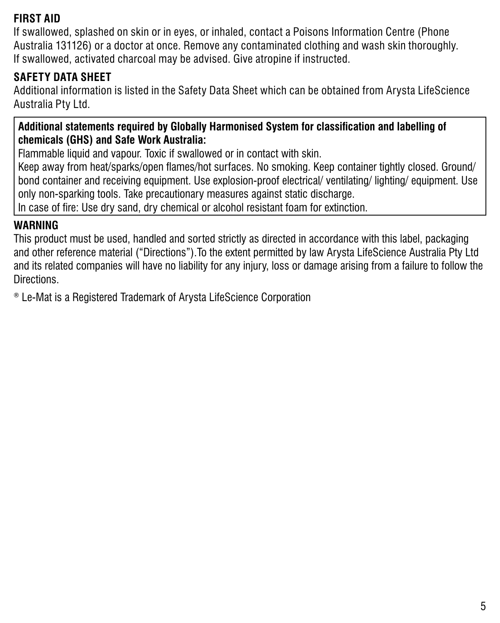#### **FIRST AID**

If swallowed, splashed on skin or in eyes, or inhaled, contact a Poisons Information Centre (Phone Australia 131126) or a doctor at once. Remove any contaminated clothing and wash skin thoroughly. If swallowed, activated charcoal may be advised. Give atropine if instructed.

### **SAFETY DATA SHEET**

Additional information is listed in the Safety Data Sheet which can be obtained from Arysta LifeScience Australia Pty Ltd.

#### **Additional statements required by Globally Harmonised System for classification and labelling of chemicals (GHS) and Safe Work Australia:**

Flammable liquid and vapour. Toxic if swallowed or in contact with skin.

Keep away from heat/sparks/open flames/hot surfaces. No smoking. Keep container tightly closed. Ground/ bond container and receiving equipment. Use explosion-proof electrical/ ventilating/ lighting/ equipment. Use only non-sparking tools. Take precautionary measures against static discharge.

In case of fire: Use dry sand, dry chemical or alcohol resistant foam for extinction.

#### **WARNING**

This product must be used, handled and sorted strictly as directed in accordance with this label, packaging and other reference material ("Directions").To the extent permitted by law Arysta LifeScience Australia Pty Ltd and its related companies will have no liability for any injury, loss or damage arising from a failure to follow the Directions.

® Le-Mat is a Registered Trademark of Arysta LifeScience Corporation